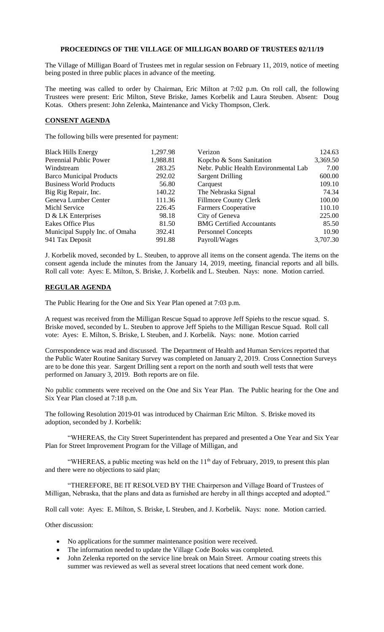## **PROCEEDINGS OF THE VILLAGE OF MILLIGAN BOARD OF TRUSTEES 02/11/19**

The Village of Milligan Board of Trustees met in regular session on February 11, 2019, notice of meeting being posted in three public places in advance of the meeting.

The meeting was called to order by Chairman, Eric Milton at 7:02 p.m. On roll call, the following Trustees were present: Eric Milton, Steve Briske, James Korbelik and Laura Steuben. Absent: Doug Kotas. Others present: John Zelenka, Maintenance and Vicky Thompson, Clerk.

## **CONSENT AGENDA**

The following bills were presented for payment:

| <b>Black Hills Energy</b>       | 1,297.98 | Verizon                               | 124.63   |
|---------------------------------|----------|---------------------------------------|----------|
| Perennial Public Power          | 1,988.81 | Kopcho & Sons Sanitation              | 3,369.50 |
| Windstream                      | 283.25   | Nebr. Public Health Environmental Lab | 7.00     |
| <b>Barco Municipal Products</b> | 292.02   | <b>Sargent Drilling</b>               | 600.00   |
| <b>Business World Products</b>  | 56.80    | Carquest                              | 109.10   |
| Big Rig Repair, Inc.            | 140.22   | The Nebraska Signal                   | 74.34    |
| Geneva Lumber Center            | 111.36   | <b>Fillmore County Clerk</b>          | 100.00   |
| Michl Service                   | 226.45   | <b>Farmers Cooperative</b>            | 110.10   |
| D & LK Enterprises              | 98.18    | City of Geneva                        | 225.00   |
| <b>Eakes Office Plus</b>        | 81.50    | <b>BMG Certified Accountants</b>      | 85.50    |
| Municipal Supply Inc. of Omaha  | 392.41   | <b>Personnel Concepts</b>             | 10.90    |
| 941 Tax Deposit                 | 991.88   | Payroll/Wages                         | 3,707.30 |

J. Korbelik moved, seconded by L. Steuben, to approve all items on the consent agenda. The items on the consent agenda include the minutes from the January 14, 2019, meeting, financial reports and all bills. Roll call vote: Ayes: E. Milton, S. Briske, J. Korbelik and L. Steuben. Nays: none. Motion carried.

## **REGULAR AGENDA**

The Public Hearing for the One and Six Year Plan opened at 7:03 p.m.

A request was received from the Milligan Rescue Squad to approve Jeff Spiehs to the rescue squad. S. Briske moved, seconded by L. Steuben to approve Jeff Spiehs to the Milligan Rescue Squad. Roll call vote: Ayes: E. Milton, S. Briske, L Steuben, and J. Korbelik. Nays: none. Motion carried

Correspondence was read and discussed. The Department of Health and Human Services reported that the Public Water Routine Sanitary Survey was completed on January 2, 2019. Cross Connection Surveys are to be done this year. Sargent Drilling sent a report on the north and south well tests that were performed on January 3, 2019. Both reports are on file.

No public comments were received on the One and Six Year Plan. The Public hearing for the One and Six Year Plan closed at 7:18 p.m.

The following Resolution 2019-01 was introduced by Chairman Eric Milton. S. Briske moved its adoption, seconded by J. Korbelik:

"WHEREAS, the City Street Superintendent has prepared and presented a One Year and Six Year Plan for Street Improvement Program for the Village of Milligan, and

"WHEREAS, a public meeting was held on the  $11<sup>th</sup>$  day of February, 2019, to present this plan and there were no objections to said plan;

"THEREFORE, BE IT RESOLVED BY THE Chairperson and Village Board of Trustees of Milligan, Nebraska, that the plans and data as furnished are hereby in all things accepted and adopted."

Roll call vote: Ayes: E. Milton, S. Briske, L Steuben, and J. Korbelik. Nays: none. Motion carried.

Other discussion:

- No applications for the summer maintenance position were received.
- The information needed to update the Village Code Books was completed.
- John Zelenka reported on the service line break on Main Street. Armour coating streets this summer was reviewed as well as several street locations that need cement work done.